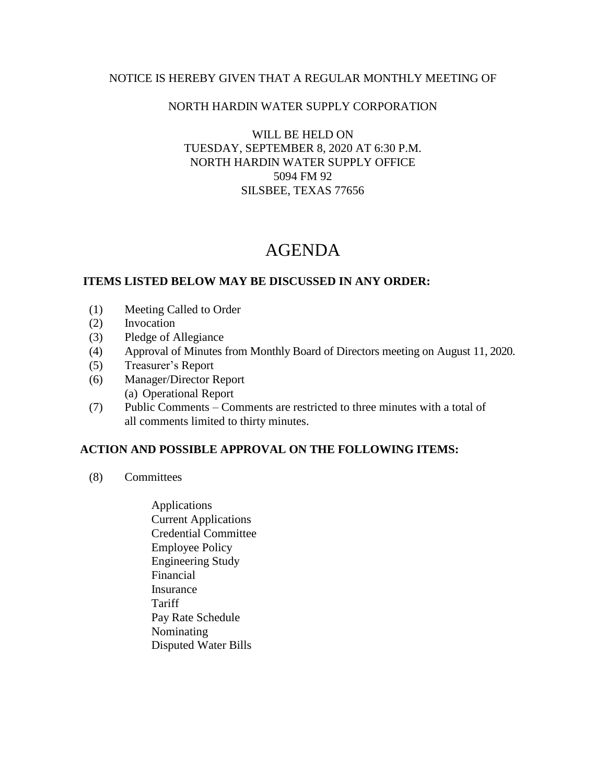## NOTICE IS HEREBY GIVEN THAT A REGULAR MONTHLY MEETING OF

### NORTH HARDIN WATER SUPPLY CORPORATION

### WILL BE HELD ON TUESDAY, SEPTEMBER 8, 2020 AT 6:30 P.M. NORTH HARDIN WATER SUPPLY OFFICE 5094 FM 92 SILSBEE, TEXAS 77656

# AGENDA

#### **ITEMS LISTED BELOW MAY BE DISCUSSED IN ANY ORDER:**

- (1) Meeting Called to Order
- (2) Invocation
- (3) Pledge of Allegiance
- (4) Approval of Minutes from Monthly Board of Directors meeting on August 11, 2020.
- (5) Treasurer's Report
- (6) Manager/Director Report (a) Operational Report
- (7) Public Comments Comments are restricted to three minutes with a total of all comments limited to thirty minutes.

## **ACTION AND POSSIBLE APPROVAL ON THE FOLLOWING ITEMS:**

- (8) Committees
	- Applications Current Applications Credential Committee Employee Policy Engineering Study Financial Insurance **Tariff**  Pay Rate Schedule Nominating Disputed Water Bills